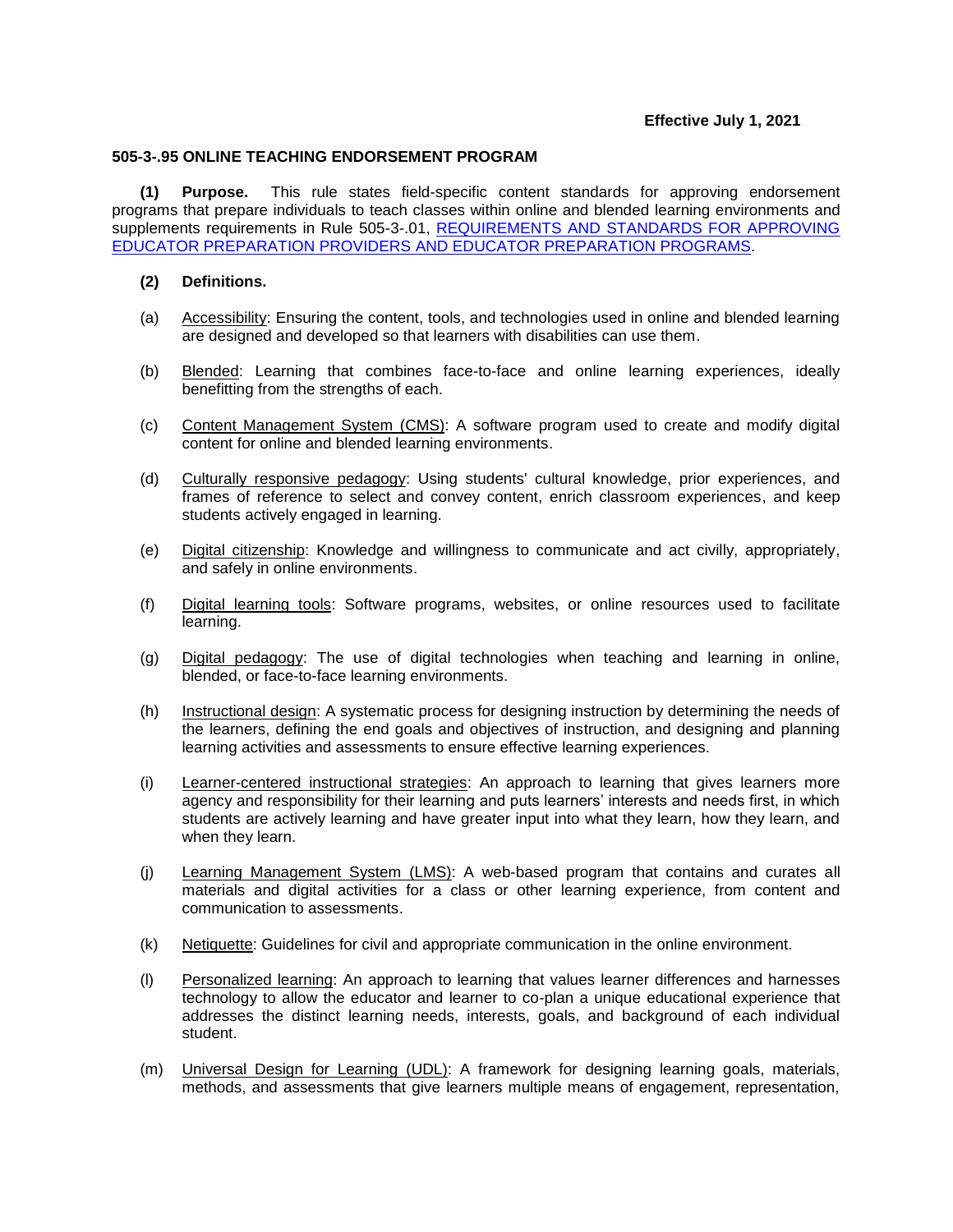## **Effective July 1, 2021**

## **505-3-.95 ONLINE TEACHING ENDORSEMENT PROGRAM**

**(1) Purpose.** This rule states field-specific content standards for approving endorsement programs that prepare individuals to teach classes within online and blended learning environments and supplements requirements in Rule 505-3-.01, [REQUIREMENTS AND STANDARDS FOR APPROVING](https://www.gapsc.com/Rules/Current/EducatorPreparation/505-3-.01.pdf?dt=%3C%25#Eval()  [EDUCATOR PREPARATION PROVIDERS AND EDUCATOR PREPARATION PROGRAMS.](https://www.gapsc.com/Rules/Current/EducatorPreparation/505-3-.01.pdf?dt=%3C%25#Eval()

## **(2) Definitions.**

- (a) Accessibility: Ensuring the content, tools, and technologies used in online and blended learning are designed and developed so that learners with disabilities can use them.
- (b) Blended: Learning that combines face-to-face and online learning experiences, ideally benefitting from the strengths of each.
- (c) Content Management System (CMS): A software program used to create and modify digital content for online and blended learning environments.
- (d) Culturally responsive pedagogy: Using students' cultural knowledge, prior experiences, and frames of reference to select and convey content, enrich classroom experiences, and keep students actively engaged in learning.
- (e) Digital citizenship: Knowledge and willingness to communicate and act civilly, appropriately, and safely in online environments.
- (f) Digital learning tools: Software programs, websites, or online resources used to facilitate learning.
- (g) Digital pedagogy: The use of digital technologies when teaching and learning in online, blended, or face-to-face learning environments.
- (h) Instructional design: A systematic process for designing instruction by determining the needs of the learners, defining the end goals and objectives of instruction, and designing and planning learning activities and assessments to ensure effective learning experiences.
- (i) Learner-centered instructional strategies: An approach to learning that gives learners more agency and responsibility for their learning and puts learners' interests and needs first, in which students are actively learning and have greater input into what they learn, how they learn, and when they learn.
- (j) Learning Management System (LMS): A web-based program that contains and curates all materials and digital activities for a class or other learning experience, from content and communication to assessments.
- (k) Netiquette: Guidelines for civil and appropriate communication in the online environment.
- (l) Personalized learning: An approach to learning that values learner differences and harnesses technology to allow the educator and learner to co-plan a unique educational experience that addresses the distinct learning needs, interests, goals, and background of each individual student.
- (m) Universal Design for Learning (UDL): A framework for designing learning goals, materials, methods, and assessments that give learners multiple means of engagement, representation,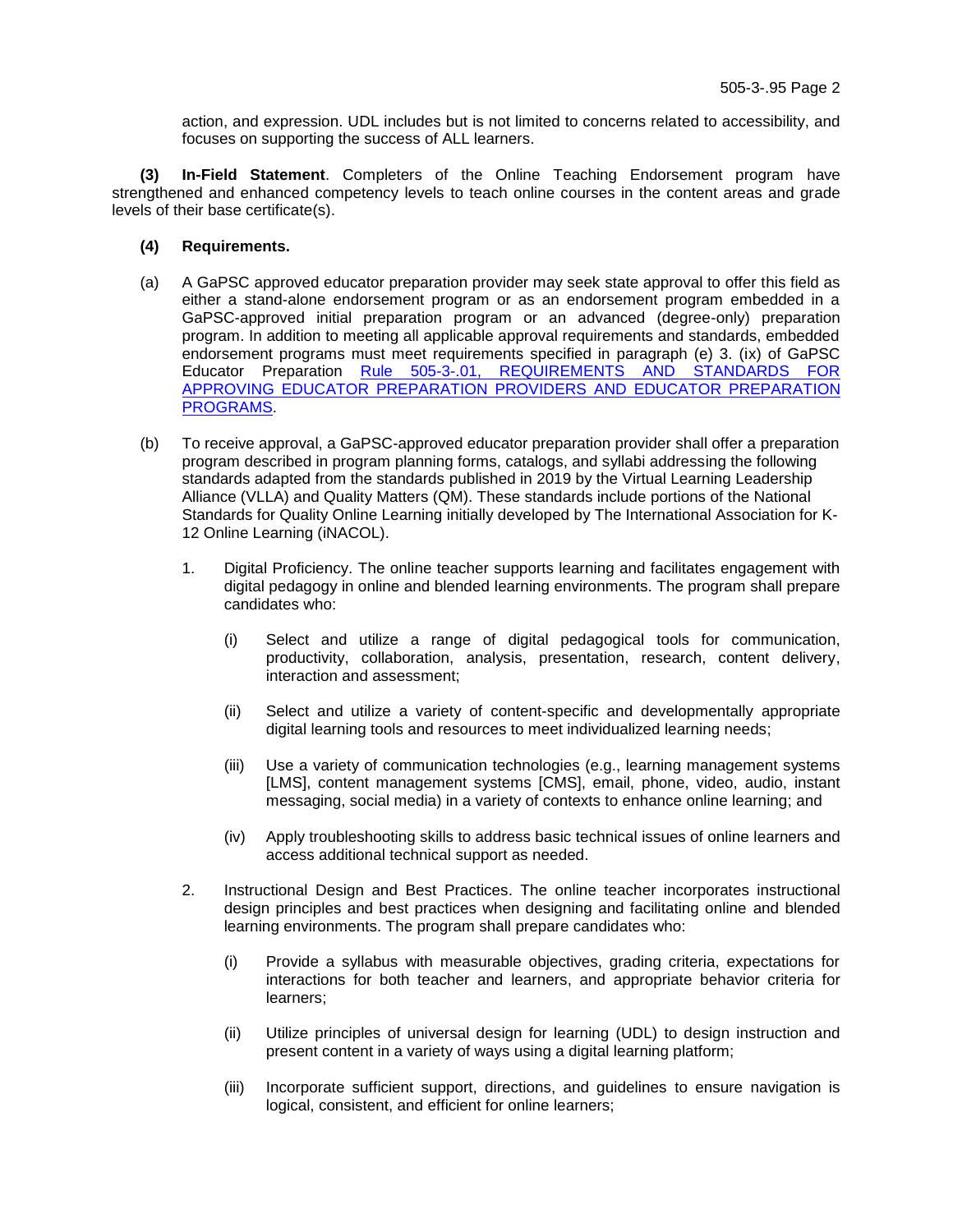action, and expression. UDL includes but is not limited to concerns related to accessibility, and focuses on supporting the success of ALL learners.

**(3) In-Field Statement**. Completers of the Online Teaching Endorsement program have strengthened and enhanced competency levels to teach online courses in the content areas and grade levels of their base certificate(s).

- **(4) Requirements.**
- (a) A GaPSC approved educator preparation provider may seek state approval to offer this field as either a stand-alone endorsement program or as an endorsement program embedded in a GaPSC-approved initial preparation program or an advanced (degree-only) preparation program. In addition to meeting all applicable approval requirements and standards, embedded endorsement programs must meet requirements specified in paragraph (e) 3. (ix) of GaPSC Educator Preparation Rule 505-3-.01, REQUIREMENTS AND STANDARDS FOR [APPROVING EDUCATOR PREPARATION PROVIDERS AND EDUCATOR PREPARATION](https://www.gapsc.com/Rules/Current/EducatorPreparation/505-3-.01.pdf?dt=%3C%25#Eval()  [PROGRAMS.](https://www.gapsc.com/Rules/Current/EducatorPreparation/505-3-.01.pdf?dt=%3C%25#Eval()
- (b) To receive approval, a GaPSC-approved educator preparation provider shall offer a preparation program described in program planning forms, catalogs, and syllabi addressing the following standards adapted from the standards published in 2019 by the Virtual Learning Leadership Alliance (VLLA) and Quality Matters (QM). These standards include portions of the National Standards for Quality Online Learning initially developed by The International Association for K-12 Online Learning (iNACOL).
	- 1. Digital Proficiency. The online teacher supports learning and facilitates engagement with digital pedagogy in online and blended learning environments. The program shall prepare candidates who:
		- (i) Select and utilize a range of digital pedagogical tools for communication, productivity, collaboration, analysis, presentation, research, content delivery, interaction and assessment;
		- (ii) Select and utilize a variety of content-specific and developmentally appropriate digital learning tools and resources to meet individualized learning needs;
		- (iii) Use a variety of communication technologies (e.g., learning management systems [LMS], content management systems [CMS], email, phone, video, audio, instant messaging, social media) in a variety of contexts to enhance online learning; and
		- (iv) Apply troubleshooting skills to address basic technical issues of online learners and access additional technical support as needed.
	- 2. Instructional Design and Best Practices. The online teacher incorporates instructional design principles and best practices when designing and facilitating online and blended learning environments. The program shall prepare candidates who:
		- (i) Provide a syllabus with measurable objectives, grading criteria, expectations for interactions for both teacher and learners, and appropriate behavior criteria for learners;
		- (ii) Utilize principles of universal design for learning (UDL) to design instruction and present content in a variety of ways using a digital learning platform;
		- (iii) Incorporate sufficient support, directions, and guidelines to ensure navigation is logical, consistent, and efficient for online learners;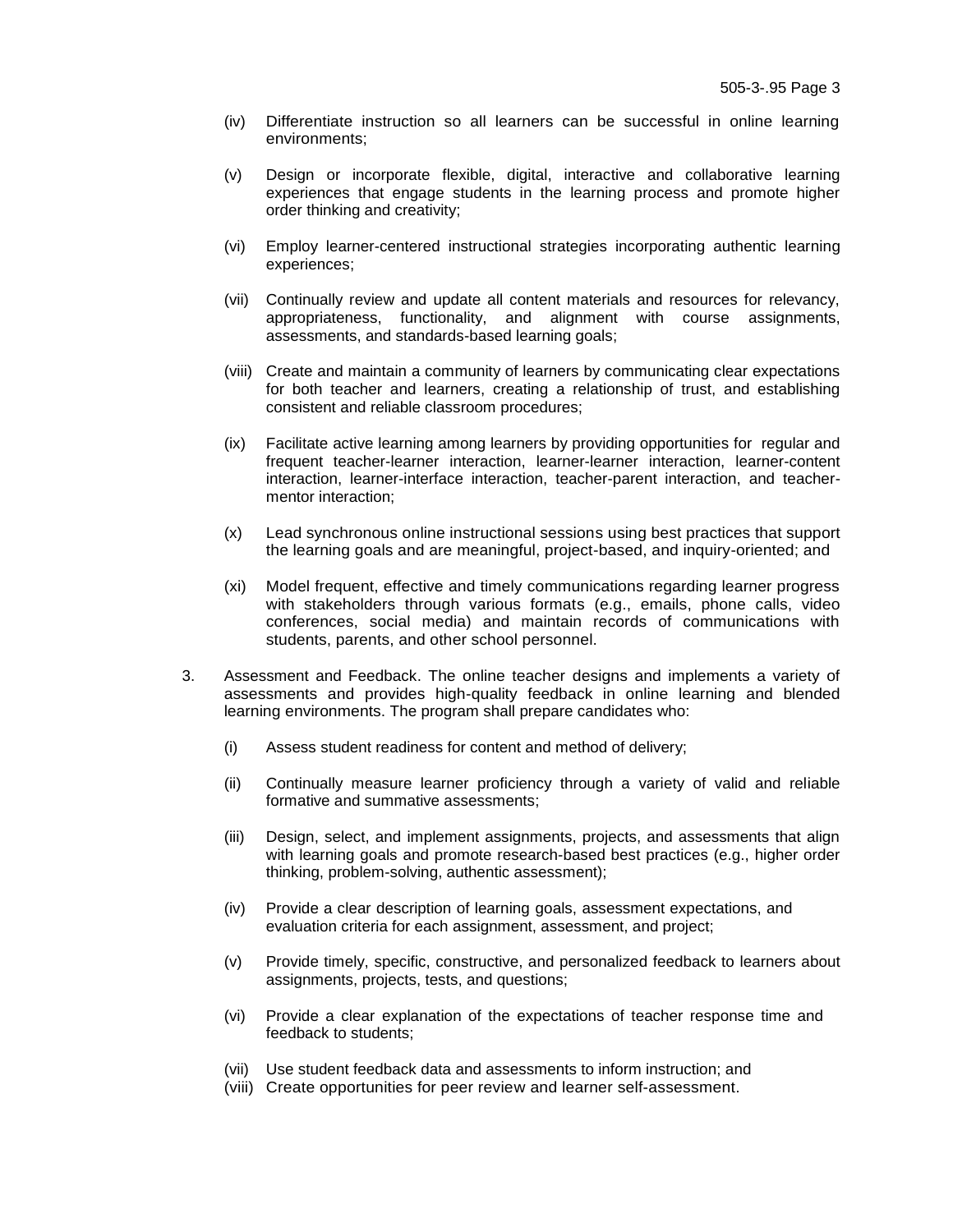- (iv) Differentiate instruction so all learners can be successful in online learning environments;
- (v) Design or incorporate flexible, digital, interactive and collaborative learning experiences that engage students in the learning process and promote higher order thinking and creativity;
- (vi) Employ learner-centered instructional strategies incorporating authentic learning experiences;
- (vii) Continually review and update all content materials and resources for relevancy, appropriateness, functionality, and alignment with course assignments, assessments, and standards-based learning goals;
- (viii) Create and maintain a community of learners by communicating clear expectations for both teacher and learners, creating a relationship of trust, and establishing consistent and reliable classroom procedures;
- (ix) Facilitate active learning among learners by providing opportunities for regular and frequent teacher-learner interaction, learner-learner interaction, learner-content interaction, learner-interface interaction, teacher-parent interaction, and teachermentor interaction;
- (x) Lead synchronous online instructional sessions using best practices that support the learning goals and are meaningful, project-based, and inquiry-oriented; and
- (xi) Model frequent, effective and timely communications regarding learner progress with stakeholders through various formats (e.g., emails, phone calls, video conferences, social media) and maintain records of communications with students, parents, and other school personnel.
- 3. Assessment and Feedback. The online teacher designs and implements a variety of assessments and provides high-quality feedback in online learning and blended learning environments. The program shall prepare candidates who:
	- (i) Assess student readiness for content and method of delivery;
	- (ii) Continually measure learner proficiency through a variety of valid and reliable formative and summative assessments;
	- (iii) Design, select, and implement assignments, projects, and assessments that align with learning goals and promote research-based best practices (e.g., higher order thinking, problem-solving, authentic assessment);
	- (iv) Provide a clear description of learning goals, assessment expectations, and evaluation criteria for each assignment, assessment, and project;
	- (v) Provide timely, specific, constructive, and personalized feedback to learners about assignments, projects, tests, and questions;
	- (vi) Provide a clear explanation of the expectations of teacher response time and feedback to students;
	- (vii) Use student feedback data and assessments to inform instruction; and
	- (viii) Create opportunities for peer review and learner self-assessment.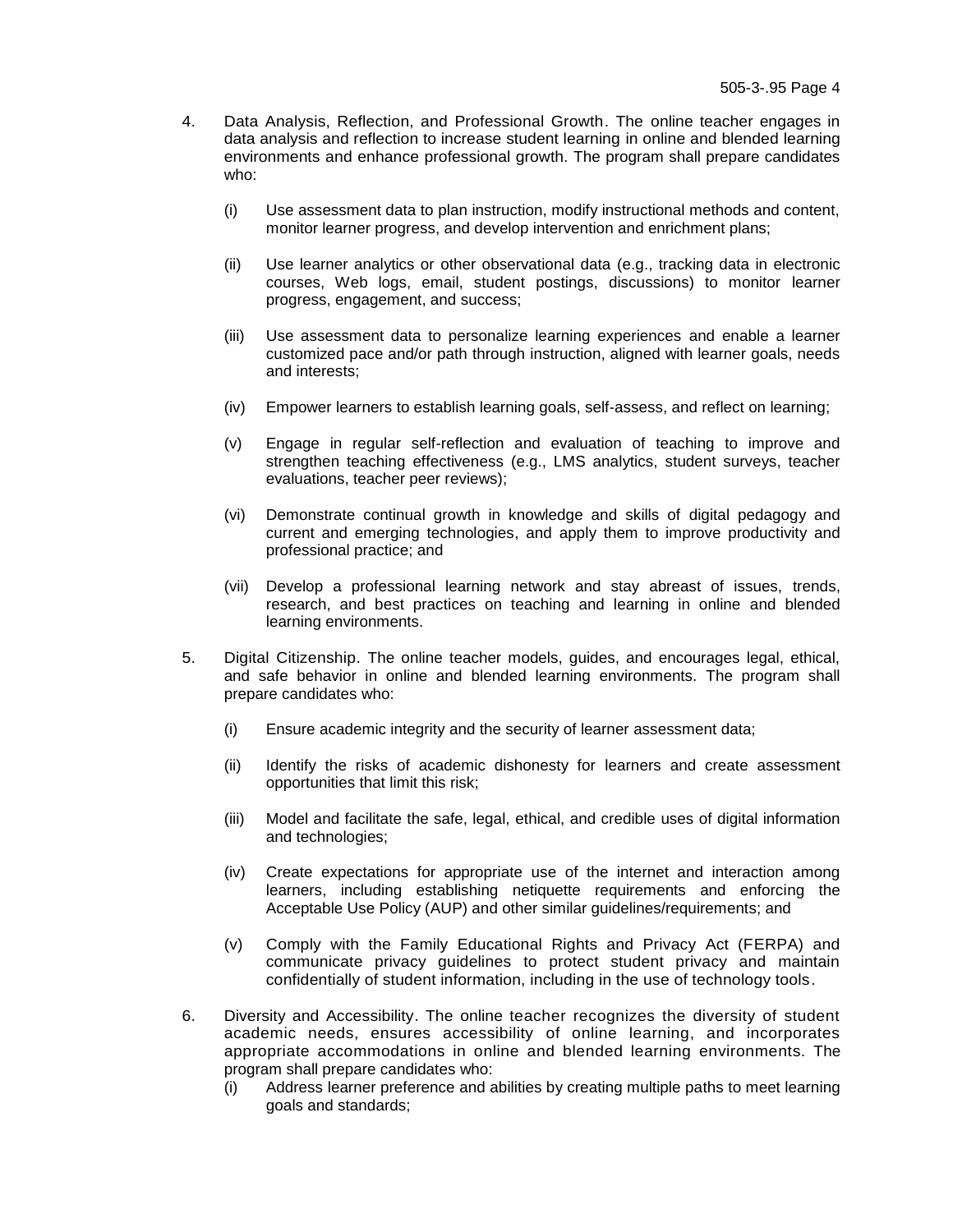- 4. Data Analysis, Reflection, and Professional Growth. The online teacher engages in data analysis and reflection to increase student learning in online and blended learning environments and enhance professional growth. The program shall prepare candidates who:
	- (i) Use assessment data to plan instruction, modify instructional methods and content, monitor learner progress, and develop intervention and enrichment plans;
	- (ii) Use learner analytics or other observational data (e.g., tracking data in electronic courses, Web logs, email, student postings, discussions) to monitor learner progress, engagement, and success;
	- (iii) Use assessment data to personalize learning experiences and enable a learner customized pace and/or path through instruction, aligned with learner goals, needs and interests;
	- (iv) Empower learners to establish learning goals, self-assess, and reflect on learning;
	- (v) Engage in regular self-reflection and evaluation of teaching to improve and strengthen teaching effectiveness (e.g., LMS analytics, student surveys, teacher evaluations, teacher peer reviews);
	- (vi) Demonstrate continual growth in knowledge and skills of digital pedagogy and current and emerging technologies, and apply them to improve productivity and professional practice; and
	- (vii) Develop a professional learning network and stay abreast of issues, trends, research, and best practices on teaching and learning in online and blended learning environments.
- 5. Digital Citizenship. The online teacher models, guides, and encourages legal, ethical, and safe behavior in online and blended learning environments. The program shall prepare candidates who:
	- (i) Ensure academic integrity and the security of learner assessment data;
	- (ii) Identify the risks of academic dishonesty for learners and create assessment opportunities that limit this risk;
	- (iii) Model and facilitate the safe, legal, ethical, and credible uses of digital information and technologies;
	- (iv) Create expectations for appropriate use of the internet and interaction among learners, including establishing netiquette requirements and enforcing the Acceptable Use Policy (AUP) and other similar guidelines/requirements; and
	- (v) Comply with the Family Educational Rights and Privacy Act (FERPA) and communicate privacy guidelines to protect student privacy and maintain confidentially of student information, including in the use of technology tools.
- 6. Diversity and Accessibility. The online teacher recognizes the diversity of student academic needs, ensures accessibility of online learning, and incorporates appropriate accommodations in online and blended learning environments. The program shall prepare candidates who:
	- (i) Address learner preference and abilities by creating multiple paths to meet learning goals and standards;